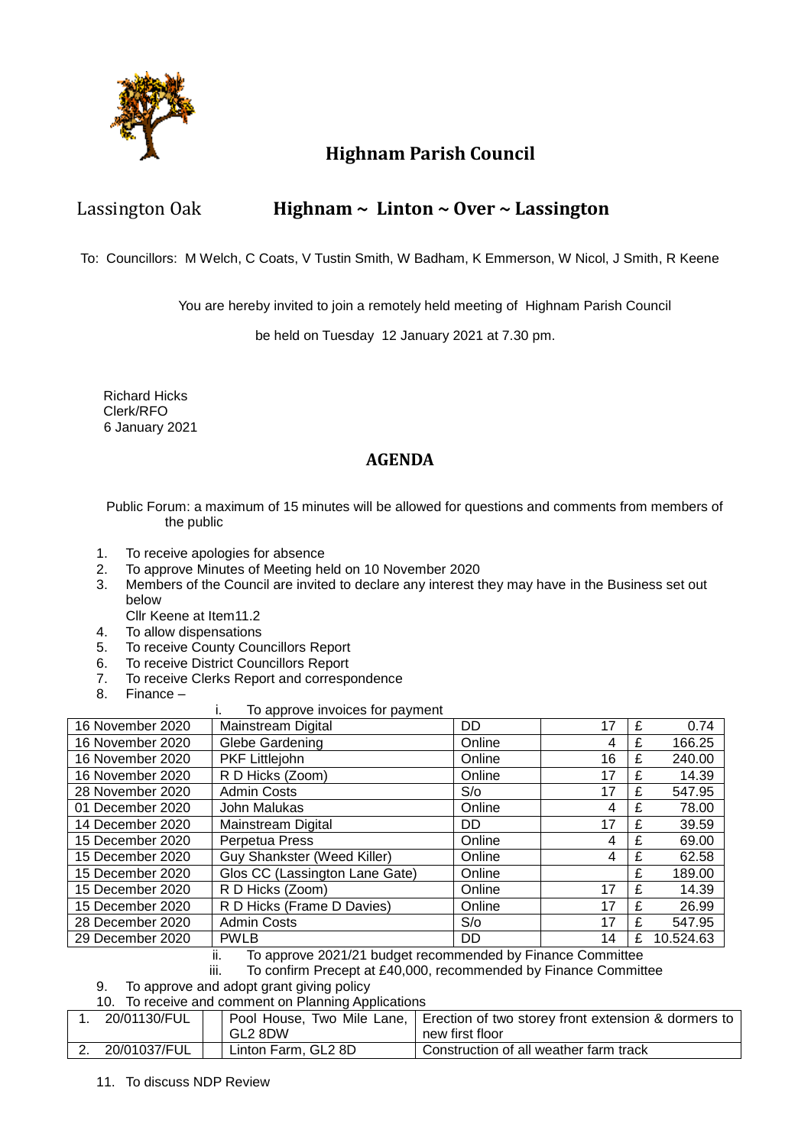

## **Highnam Parish Council**

### Lassington Oak **Highnam ~ Linton ~ Over ~ Lassington**

To: Councillors: M Welch, C Coats, V Tustin Smith, W Badham, K Emmerson, W Nicol, J Smith, R Keene

You are hereby invited to join a remotely held meeting of Highnam Parish Council

be held on Tuesday 12 January 2021 at 7.30 pm.

 Richard Hicks Clerk/RFO 6 January 2021

#### **AGENDA**

Public Forum: a maximum of 15 minutes will be allowed for questions and comments from members of the public

- 1. To receive apologies for absence
- 2. To approve Minutes of Meeting held on 10 November 2020
- 3. Members of the Council are invited to declare any interest they may have in the Business set out below
	- Cllr Keene at Item11.2
- 4. To allow dispensations
- 5. To receive County Councillors Report<br>6. To receive District Councillors Report
- To receive District Councillors Report
- 7. To receive Clerks Report and correspondence
- 8. Finance –
- i. To approve invoices for payment

| 16 November 2020 | TO apploye invoices for payment<br>Mainstream Digital | DD.        | 17 | £ | 0.74      |
|------------------|-------------------------------------------------------|------------|----|---|-----------|
|                  |                                                       |            |    |   |           |
| 16 November 2020 | Glebe Gardening                                       | Online     | 4  | £ | 166.25    |
| 16 November 2020 | PKF Littlejohn                                        | Online     | 16 | £ | 240.00    |
| 16 November 2020 | R D Hicks (Zoom)                                      | Online     | 17 |   | 14.39     |
| 28 November 2020 | <b>Admin Costs</b>                                    | $S/\sigma$ | 17 | £ | 547.95    |
| 01 December 2020 | John Malukas                                          | Online     | 4  | £ | 78.00     |
| 14 December 2020 | Mainstream Digital                                    | DD.        | 17 | £ | 39.59     |
| 15 December 2020 | Perpetua Press                                        | Online     | 4  | £ | 69.00     |
| 15 December 2020 | Guy Shankster (Weed Killer)                           | Online     | 4  |   | 62.58     |
| 15 December 2020 | Glos CC (Lassington Lane Gate)                        | Online     |    | £ | 189.00    |
| 15 December 2020 | R D Hicks (Zoom)                                      | Online     | 17 | £ | 14.39     |
| 15 December 2020 | R D Hicks (Frame D Davies)                            | Online     | 17 | £ | 26.99     |
| 28 December 2020 | <b>Admin Costs</b>                                    | S/O        | 17 | £ | 547.95    |
| 29 December 2020 | <b>PWLB</b>                                           | DD         | 14 | £ | 10.524.63 |

ii. To approve 2021/21 budget recommended by Finance Committee

iii. To confirm Precept at £40,000, recommended by Finance Committee

- 9. To approve and adopt grant giving policy
- 10. To receive and comment on Planning Applications

| 20/01130/FUL |                     | Pool House, Two Mile Lane,   Erection of two storey front extension & dormers to |
|--------------|---------------------|----------------------------------------------------------------------------------|
|              | GL2 8DW             | new first floor                                                                  |
| 20/01037/FUL | Linton Farm, GL2 8D | Construction of all weather farm track                                           |

11. To discuss NDP Review